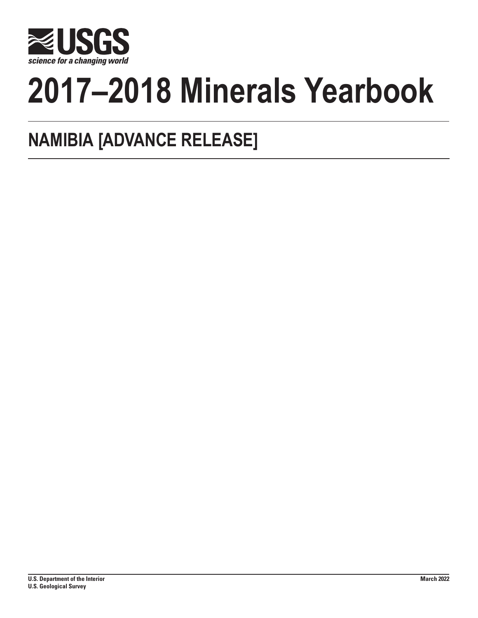

# **2017–2018 Minerals Yearbook**

# **NAMIBIA [ADVANCE RELEASE]**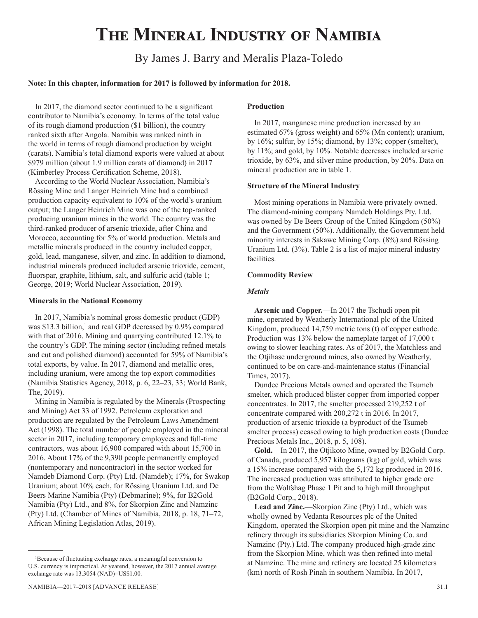# **The Mineral Industry of Namibia**

# By James J. Barry and Meralis Plaza-Toledo

#### **Note: In this chapter, information for 2017 is followed by information for 2018.**

In 2017, the diamond sector continued to be a significant contributor to Namibia's economy. In terms of the total value of its rough diamond production (\$1 billion), the country ranked sixth after Angola. Namibia was ranked ninth in the world in terms of rough diamond production by weight (carats). Namibia's total diamond exports were valued at about \$979 million (about 1.9 million carats of diamond) in 2017 (Kimberley Process Certification Scheme, 2018).

According to the World Nuclear Association, Namibia's Rössing Mine and Langer Heinrich Mine had a combined production capacity equivalent to 10% of the world's uranium output; the Langer Heinrich Mine was one of the top-ranked producing uranium mines in the world. The country was the third-ranked producer of arsenic trioxide, after China and Morocco, accounting for 5% of world production. Metals and metallic minerals produced in the country included copper, gold, lead, manganese, silver, and zinc. In addition to diamond, industrial minerals produced included arsenic trioxide, cement, fluorspar, graphite, lithium, salt, and sulfuric acid (table 1; George, 2019; World Nuclear Association, 2019).

#### **Minerals in the National Economy**

In 2017, Namibia's nominal gross domestic product (GDP) was \$13.3 billion,<sup>1</sup> and real GDP decreased by 0.9% compared with that of 2016. Mining and quarrying contributed 12.1% to the country's GDP. The mining sector (including refined metals and cut and polished diamond) accounted for 59% of Namibia's total exports, by value. In 2017, diamond and metallic ores, including uranium, were among the top export commodities (Namibia Statistics Agency, 2018, p. 6, 22–23, 33; World Bank, The, 2019).

Mining in Namibia is regulated by the Minerals (Prospecting and Mining) Act 33 of 1992. Petroleum exploration and production are regulated by the Petroleum Laws Amendment Act (1998). The total number of people employed in the mineral sector in 2017, including temporary employees and full-time contractors, was about 16,900 compared with about 15,700 in 2016. About 17% of the 9,390 people permanently employed (nontemporary and noncontractor) in the sector worked for Namdeb Diamond Corp. (Pty) Ltd. (Namdeb); 17%, for Swakop Uranium; about 10% each, for Rössing Uranium Ltd. and De Beers Marine Namibia (Pty) (Debmarine); 9%, for B2Gold Namibia (Pty) Ltd., and 8%, for Skorpion Zinc and Namzinc (Pty) Ltd. (Chamber of Mines of Namibia, 2018, p. 18, 71–72, African Mining Legislation Atlas, 2019).

#### Namibia—2017–2018 [ADVANCE RELEASE] 31.1

#### **Production**

In 2017, manganese mine production increased by an estimated 67% (gross weight) and 65% (Mn content); uranium, by 16%; sulfur, by 15%; diamond, by 13%; copper (smelter), by 11%; and gold, by 10%. Notable decreases included arsenic trioxide, by 63%, and silver mine production, by 20%. Data on mineral production are in table 1.

#### **Structure of the Mineral Industry**

Most mining operations in Namibia were privately owned. The diamond-mining company Namdeb Holdings Pty. Ltd. was owned by De Beers Group of the United Kingdom (50%) and the Government (50%). Additionally, the Government held minority interests in Sakawe Mining Corp. (8%) and Rössing Uranium Ltd. (3%). Table 2 is a list of major mineral industry facilities.

#### **Commodity Review**

#### *Metals*

**Arsenic and Copper.**—In 2017 the Tschudi open pit mine, operated by Weatherly International plc of the United Kingdom, produced 14,759 metric tons (t) of copper cathode. Production was 13% below the nameplate target of 17,000 t owing to slower leaching rates. As of 2017, the Matchless and the Otjihase underground mines, also owned by Weatherly, continued to be on care-and-maintenance status (Financial Times, 2017).

Dundee Precious Metals owned and operated the Tsumeb smelter, which produced blister copper from imported copper concentrates. In 2017, the smelter processed 219,252 t of concentrate compared with 200,272 t in 2016. In 2017, production of arsenic trioxide (a byproduct of the Tsumeb smelter process) ceased owing to high production costs (Dundee Precious Metals Inc., 2018, p. 5, 108).

**Gold.**—In 2017, the Otjikoto Mine, owned by B2Gold Corp. of Canada, produced 5,957 kilograms (kg) of gold, which was a 15% increase compared with the 5,172 kg produced in 2016. The increased production was attributed to higher grade ore from the Wolfshag Phase 1 Pit and to high mill throughput (B2Gold Corp., 2018).

**Lead and Zinc.**—Skorpion Zinc (Pty) Ltd., which was wholly owned by Vedanta Resources plc of the United Kingdom, operated the Skorpion open pit mine and the Namzinc refinery through its subsidiaries Skorpion Mining Co. and Namzinc (Pty.) Ltd. The company produced high-grade zinc from the Skorpion Mine, which was then refined into metal at Namzinc. The mine and refinery are located 25 kilometers (km) north of Rosh Pinah in southern Namibia. In 2017,

<sup>1</sup> Because of fluctuating exchange rates, a meaningful conversion to U.S. currency is impractical. At yearend, however, the 2017 annual average exchange rate was 13.3054 (NAD)=US\$1.00.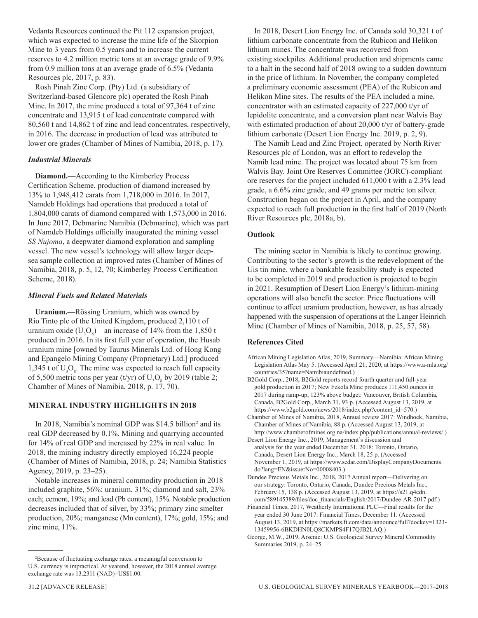Vedanta Resources continued the Pit 112 expansion project, which was expected to increase the mine life of the Skorpion Mine to 3 years from 0.5 years and to increase the current reserves to 4.2 million metric tons at an average grade of 9.9% from 0.9 million tons at an average grade of 6.5% (Vedanta Resources plc, 2017, p. 83).

Rosh Pinah Zinc Corp. (Pty) Ltd. (a subsidiary of Switzerland-based Glencore plc) operated the Rosh Pinah Mine. In 2017, the mine produced a total of 97,364 t of zinc concentrate and 13,915 t of lead concentrate compared with 80,560 t and 14,862 t of zinc and lead concentrates, respectively, in 2016. The decrease in production of lead was attributed to lower ore grades (Chamber of Mines of Namibia, 2018, p. 17).

## *Industrial Minerals*

**Diamond.**—According to the Kimberley Process Certification Scheme, production of diamond increased by 13% to 1,948,412 carats from 1,718,000 in 2016. In 2017, Namdeb Holdings had operations that produced a total of 1,804,000 carats of diamond compared with 1,573,000 in 2016. In June 2017, Debmarine Namibia (Debmarine), which was part of Namdeb Holdings officially inaugurated the mining vessel *SS Nujoma*, a deepwater diamond exploration and sampling vessel. The new vessel's technology will allow larger deepsea sample collection at improved rates (Chamber of Mines of Namibia, 2018, p. 5, 12, 70; Kimberley Process Certification Scheme, 2018).

# *Mineral Fuels and Related Materials*

**Uranium.**—Rössing Uranium, which was owned by Rio Tinto plc of the United Kingdom, produced 2,110 t of uranium oxide ( $U_3O_8$ )—an increase of 14% from the 1,850 t produced in 2016. In its first full year of operation, the Husab uranium mine [owned by Taurus Minerals Ltd. of Hong Kong and Epangelo Mining Company (Proprietary) Ltd.] produced 1,345 t of  $U_3O_8$ . The mine was expected to reach full capacity of 5,500 metric tons per year (t/yr) of  $U_3O_8$  by 2019 (table 2; Chamber of Mines of Namibia, 2018, p. 17, 70).

# **MINERAL INDUSTRY HIGHLIGHTS IN 2018**

In 2018, Namibia's nominal GDP was \$14.5 billion<sup>2</sup> and its real GDP decreased by 0.1%. Mining and quarrying accounted for 14% of real GDP and increased by 22% in real value. In 2018, the mining industry directly employed 16,224 people (Chamber of Mines of Namibia, 2018, p. 24; Namibia Statistics Agency, 2019, p. 23–25).

Notable increases in mineral commodity production in 2018 included graphite, 56%; uranium, 31%; diamond and salt, 23% each; cement, 19%; and lead (Pb content), 15%. Notable production decreases included that of silver, by 33%; primary zinc smelter production, 20%; manganese (Mn content), 17%; gold, 15%; and zinc mine, 11%.

In 2018, Desert Lion Energy Inc. of Canada sold 30,321 t of lithium carbonate concentrate from the Rubicon and Helikon lithium mines. The concentrate was recovered from existing stockpiles. Additional production and shipments came to a halt in the second half of 2018 owing to a sudden downturn in the price of lithium. In November, the company completed a preliminary economic assessment (PEA) of the Rubicon and Helikon Mine sites. The results of the PEA included a mine, concentrator with an estimated capacity of 227,000 t/yr of lepidolite concentrate, and a conversion plant near Walvis Bay with estimated production of about 20,000 t/yr of battery-grade lithium carbonate (Desert Lion Energy Inc. 2019, p. 2, 9).

The Namib Lead and Zinc Project, operated by North River Resources plc of London, was an effort to redevelop the Namib lead mine. The project was located about 75 km from Walvis Bay. Joint Ore Reserves Committee (JORC)-compliant ore reserves for the project included 611,000 t with a 2.3% lead grade, a 6.6% zinc grade, and 49 grams per metric ton silver. Construction began on the project in April, and the company expected to reach full production in the first half of 2019 (North River Resources plc, 2018a, b).

## **Outlook**

The mining sector in Namibia is likely to continue growing. Contributing to the sector's growth is the redevelopment of the Uis tin mine, where a bankable feasibility study is expected to be completed in 2019 and production is projected to begin in 2021. Resumption of Desert Lion Energy's lithium-mining operations will also benefit the sector. Price fluctuations will continue to affect uranium production, however, as has already happened with the suspension of operations at the Langer Heinrich Mine (Chamber of Mines of Namibia, 2018, p. 25, 57, 58).

#### **References Cited**

African Mining Legislation Atlas, 2019, Summary—Namibia: African Mining Legislation Atlas May 5. (Accessed April 21, 2020, at https://www.a-mla.org/ countries/35?name=Namibiaundefined.)

- B2Gold Corp., 2018, B2Gold reports record fourth quarter and full-year gold production in 2017; New Fekola Mine produces 111,450 ounces in 2017 during ramp-up, 123% above budget: Vancouver, British Columbia, Canada, B2Gold Corp., March 31, 93 p. (Accessed August 13, 2019, at https://www.b2gold.com/news/2018/index.php?content\_id=570.)
- Chamber of Mines of Namibia, 2018, Annual review 2017: Windhoek, Namibia, Chamber of Mines of Namibia, 88 p. (Accessed August 13, 2019, at http://www.chamberofmines.org.na/index.php/publications/annual-reviews/.)
- Desert Lion Energy Inc., 2019, Management's discussion and analysis for the year ended December 31, 2018: Toronto, Ontario, Canada, Desert Lion Energy Inc., March 18, 25 p. (Accessed November 1, 2019, at https://www.sedar.com/DisplayCompanyDocuments. do?lang=EN&issuerNo=00008403.)
- Dundee Precious Metals Inc., 2018, 2017 Annual report—Delivering on our strategy: Toronto, Ontario, Canada, Dundee Precious Metals Inc., February 15, 138 p. (Accessed August 13, 2019, at https://s21.q4cdn. com/589145389/files/doc\_financials/English/2017/Dundee-AR-2017.pdf.)
- Financial Times, 2017, Weatherly International PLC—Final results for the year ended 30 June 2017: Financial Times, December 11. (Accessed August 13, 2019, at https://markets.ft.com/data/announce/full?dockey=1323- 13459956-6BKDHN0LQ8CKMPS4F17QJB2LAQ.)

<sup>2</sup> Because of fluctuating exchange rates, a meaningful conversion to U.S. currency is impractical. At yearend, however, the 2018 annual average exchange rate was 13.2311 (NAD)=US\$1.00.

George, M.W., 2019, Arsenic: U.S. Geological Survey Mineral Commodity Summaries 2019, p. 24–25.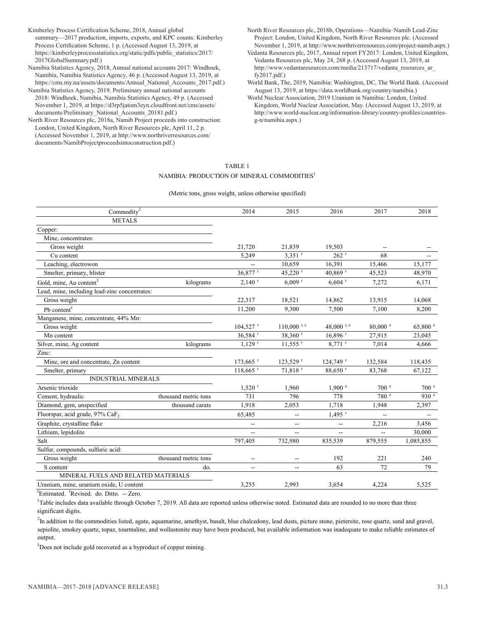Kimberley Process Certification Scheme, 2018, Annual global summary—2017 production, imports, exports, and KPC counts: Kimberley Process Certification Scheme, 1 p. (Accessed August 13, 2019, at https://kimberleyprocessstatistics.org/static/pdfs/public\_statistics/2017/ 2017GlobalSummary.pdf.)

Namibia Statistics Agency, 2018, Annual national accounts 2017: Windhoek, Namibia, Namibia Statistics Agency, 46 p. (Accessed August 13, 2019, at https://cms.my.na/assets/documents/Annual\_National\_Accounts\_2017.pdf.)

Namibia Statistics Agency, 2019, Preliminary annual national accounts 2018: Windhoek, Namibia, Namibia Statistics Agency, 49 p. (Accessed November 1, 2019, at https://d3rp5jatom3eyn.cloudfront.net/cms/assets/

documents/Preliminary\_National\_Accounts\_20181.pdf.) North River Resources plc, 2018a, Namib Project proceeds into construction: London, United Kingdom, North River Resources plc, April 11, 2 p. (Accessed November 1, 2019, at http://www.northriverresources.com/ documents/NamibProjectproceedsintoconstruction.pdf.)

- North River Resources plc, 2018b, Operations—Namibia–Namib Lead-Zinc Project: London, United Kingdom, North River Resources plc. (Accessed November 1, 2019, at http://www.northriverresources.com/project-namib.aspx.)
- Vedanta Resources plc, 2017, Annual report FY2017: London, United Kingdom, Vedanta Resources plc, May 24, 268 p. (Accessed August 13, 2019, at http://www.vedantaresources.com/media/213717/vedanta\_resources\_ar\_ fy2017.pdf.)
- World Bank, The, 2019, Namibia: Washington, DC, The World Bank. (Accessed August 13, 2019, at https://data.worldbank.org/country/namibia.)
- World Nuclear Association, 2019 Uranium in Namibia: London, United Kingdom, World Nuclear Association, May. (Accessed August 13, 2019, at http://www.world-nuclear.org/information-library/country-profiles/countriesg-n/namibia.aspx.)

#### TABLE 1 NAMIBIA: PRODUCTION OF MINERAL COMMODITIES<sup>1</sup>

#### (Metric tons, gross weight, unless otherwise specified)

| Commodity <sup>2</sup>                        |                      | 2014                     | 2015                     | 2016                  | 2017               | 2018              |
|-----------------------------------------------|----------------------|--------------------------|--------------------------|-----------------------|--------------------|-------------------|
| <b>METALS</b>                                 |                      |                          |                          |                       |                    |                   |
| Copper:                                       |                      |                          |                          |                       |                    |                   |
| Mine, concentrates:                           |                      |                          |                          |                       |                    |                   |
| Gross weight                                  |                      | 21,720                   | 21,839                   | 19,503                |                    |                   |
| Cu content                                    |                      | 5,249                    | $3,351$ <sup>r</sup>     | 262 r                 | 68                 |                   |
| Leaching, electrowon                          |                      |                          | 10,659                   | 16,391                | 15,466             | 15,177            |
| Smelter, primary, blister                     |                      | 36,877 r                 | 45,220 r                 | 40,869 r              | 45,523             | 48,970            |
| Gold, mine, Au content <sup>3</sup>           | kilograms            | $2,140$ <sup>r</sup>     | $6,009$ <sup>r</sup>     | $6,604$ <sup>r</sup>  | 7,272              | 6,171             |
| Lead, mine, including lead-zinc concentrates: |                      |                          |                          |                       |                    |                   |
| Gross weight                                  |                      | 22,317                   | 18,521                   | 14,862                | 13,915             | 14,068            |
| Pb content <sup>e</sup>                       |                      | 11,200                   | 9,300                    | 7,500                 | 7,100              | 8,200             |
| Manganese, mine, concentrate, 44% Mn:         |                      |                          |                          |                       |                    |                   |
| Gross weight                                  |                      | $104,527$ <sup>r</sup>   | $110,000$ r, e           | 48,000 r, e           | $80,000$ $\degree$ | 65,800 $^{\circ}$ |
| Mn content                                    |                      | 36,584 <sup>r</sup>      | 38,360 r                 | $16,896$ <sup>r</sup> | 27,915             | 23,045            |
| Silver, mine, Ag content                      | kilograms            | $1,129$ <sup>r</sup>     | $11,555$ <sup>r</sup>    | $8,771$ <sup>r</sup>  | 7,014              | 4,666             |
| Zinc:                                         |                      |                          |                          |                       |                    |                   |
| Mine, ore and concentrate, Zn content         |                      | $173,665$ <sup>r</sup>   | 123,529 r                | 124,749 r             | 132,584            | 118,435           |
| Smelter, primary                              |                      | $118,665$ <sup>r</sup>   | 71,818 <sup>r</sup>      | 88,650 <sup>r</sup>   | 83,768             | 67,122            |
| <b>INDUSTRIAL MINERALS</b>                    |                      |                          |                          |                       |                    |                   |
| Arsenic trioxide                              |                      | $1,520$ <sup>r</sup>     | 1,960                    | 1,900 °               | 700 <sup>°</sup>   | 700 <sup>°</sup>  |
| Cement, hydraulic                             | thousand metric tons | 731                      | 796                      | 778                   | 780 <sup>°</sup>   | 930 $e$           |
| Diamond, gem, unspecified                     | thousand carats      | 1,918                    | 2,053                    | 1,718                 | 1,948              | 2,397             |
| Fluorspar, acid grade, 97% CaF <sub>2</sub>   |                      | 65,485                   | --                       | $1,495$ <sup>r</sup>  | $\overline{a}$     |                   |
| Graphite, crystalline flake                   |                      | $-$                      | $\overline{a}$           | $\sim$ $\sim$         | 2,216              | 3,456             |
| Lithium, lepidolite                           |                      | --                       | $\overline{\phantom{a}}$ | --                    | $- -$              | 30,000            |
| Salt                                          |                      | 797,405                  | 732,980                  | 835,539               | 879,555            | 1,085,855         |
| Sulfur, compounds, sulfuric acid:             |                      |                          |                          |                       |                    |                   |
| Gross weight                                  | thousand metric tons | $-$                      | --                       | 192                   | 221                | 240               |
| S content                                     | do.                  | $\overline{\phantom{a}}$ | $\overline{\phantom{a}}$ | 63                    | 72                 | 79                |
| MINERAL FUELS AND RELATED MATERIALS           |                      |                          |                          |                       |                    |                   |
| Uranium, mine, uranium oxide, U content       |                      | 3,255                    | 2,993                    | 3.654                 | 4.224              | 5,525             |

<sup>e</sup>Estimated. <sup>r</sup>Revised. do. Ditto. -- Zero.

<sup>1</sup>Table includes data available through October 7, 2019. All data are reported unless otherwise noted. Estimated data are rounded to no more than three significant digits.

<sup>2</sup>In addition to the commodities listed, agate, aquamarine, amethyst, basalt, blue chalcedony, lead dusts, picture stone, pietersite, rose quartz, sand and gravel, sepiolite, smokey quartz, topaz, tourmaline, and wollastonite may have been produced, but available information was inadequate to make reliable estimates of output.

 $3$ Does not include gold recovered as a byproduct of copper mining.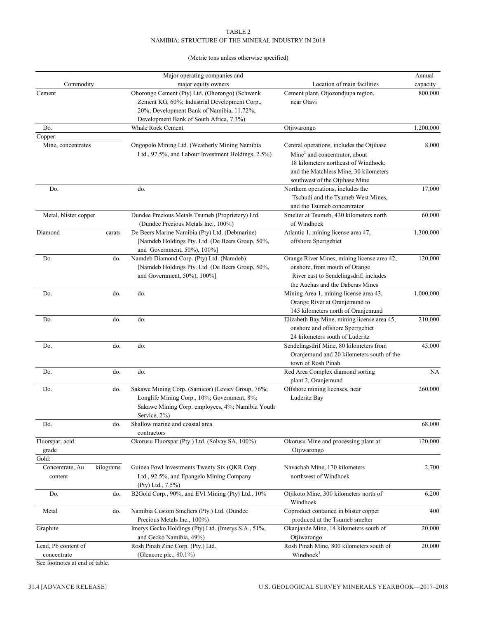#### TABLE 2 NAMIBIA: STRUCTURE OF THE MINERAL INDUSTRY IN 2018

## (Metric tons unless otherwise specified)

|                                    |                  | Major operating companies and                                                                                                                                        |                                                                                                                                                              | Annual    |
|------------------------------------|------------------|----------------------------------------------------------------------------------------------------------------------------------------------------------------------|--------------------------------------------------------------------------------------------------------------------------------------------------------------|-----------|
| Commodity                          |                  | major equity owners                                                                                                                                                  | Location of main facilities                                                                                                                                  | capacity  |
| Cement                             |                  | Ohorongo Cement (Pty) Ltd. (Ohorongo) (Schwenk<br>Zement KG, 60%; Industrial Development Corp.,<br>20%; Development Bank of Namibia, 11.72%;                         | Cement plant, Otjozondjupa region,<br>near Otavi                                                                                                             | 800,000   |
|                                    |                  | Development Bank of South Africa, 7.3%)                                                                                                                              |                                                                                                                                                              |           |
| Do.                                |                  | Whale Rock Cement                                                                                                                                                    | Otjiwarongo                                                                                                                                                  | 1,200,000 |
| Copper:                            |                  |                                                                                                                                                                      |                                                                                                                                                              |           |
| Mine, concentrates                 |                  | Ongopolo Mining Ltd. (Weatherly Mining Namibia                                                                                                                       | Central operations, includes the Otjihase                                                                                                                    | 8,000     |
|                                    |                  | Ltd., 97.5%, and Labour Investment Holdings, 2.5%)                                                                                                                   | Mine <sup>1</sup> and concentrator, about<br>18 kilometers northeast of Windhoek:<br>and the Matchless Mine, 30 kilometers<br>southwest of the Otjihase Mine |           |
| Do.                                |                  | do.                                                                                                                                                                  | Northern operations, includes the                                                                                                                            | 17,000    |
|                                    |                  |                                                                                                                                                                      | Tschudi and the Tsumeb West Mines,<br>and the Tsumeb concentrator                                                                                            |           |
| Metal, blister copper              |                  | Dundee Precious Metals Tsumeb (Proprietary) Ltd.<br>(Dundee Precious Metals Inc., 100%)                                                                              | Smelter at Tsumeb, 430 kilometers north<br>of Windhoek                                                                                                       | 60,000    |
| Diamond                            | carats           | De Beers Marine Namibia (Pty) Ltd. (Debmarine)<br>[Namdeb Holdings Pty. Ltd. (De Beers Group, 50%,<br>and Government, 50%), 100%]                                    | Atlantic 1, mining license area 47,<br>offshore Sperrgebiet                                                                                                  | 1,300,000 |
| Do.                                | do.              | Namdeb Diamond Corp. (Pty) Ltd. (Namdeb)<br>[Namdeb Holdings Pty. Ltd. (De Beers Group, 50%,<br>and Government, 50%), 100%]                                          | Orange River Mines, mining license area 42,<br>onshore, from mouth of Orange<br>River east to Sendelingsdrif; includes<br>the Auchas and the Daberas Mines   | 120,000   |
| Do.                                | do.              | do.                                                                                                                                                                  | Mining Area 1, mining license area 43,<br>Orange River at Oranjemund to<br>145 kilometers north of Oranjemund                                                | 1,000,000 |
| Do.                                | do.              | do.                                                                                                                                                                  | Elizabeth Bay Mine, mining license area 45,<br>onshore and offshore Sperrgebiet<br>24 kilometers south of Luderitz                                           | 210,000   |
| Do.                                | do.              | do.                                                                                                                                                                  | Sendelingsdrif Mine, 80 kilometers from<br>Oranjemund and 20 kilometers south of the<br>town of Rosh Pinah                                                   | 45,000    |
| Do.                                | do.              | do.                                                                                                                                                                  | Red Area Complex diamond sorting<br>plant 2, Oranjemund                                                                                                      | <b>NA</b> |
| Do.                                | do.              | Sakawe Mining Corp. (Samicor) (Leviev Group, 76%;<br>Longlife Mining Corp., 10%; Government, 8%;<br>Sakawe Mining Corp. employees, 4%; Namibia Youth<br>Service, 2%) | Offshore mining licenses, near<br>Luderitz Bay                                                                                                               | 260,000   |
| Do.                                | do.              | Shallow marine and coastal area<br>contractors                                                                                                                       |                                                                                                                                                              | 68,000    |
| Fluorspar, acid<br>grade           |                  | Okorusu Fluorspar (Pty.) Ltd. (Solvay SA, 100%)                                                                                                                      | Okorusu Mine and processing plant at<br>Otjiwarongo                                                                                                          | 120,000   |
| Gold:<br>Concentrate, Au           | kilograms        | Guinea Fowl Investments Twenty Six (QKR Corp.                                                                                                                        | Navachab Mine, 170 kilometers                                                                                                                                | 2,700     |
| content                            |                  | Ltd., 92.5%, and Epangelo Mining Company<br>(Pty) Ltd., 7.5%)                                                                                                        | northwest of Windhoek                                                                                                                                        |           |
| Do.                                | do.              | B2Gold Corp., 90%, and EVI Mining (Pty) Ltd., 10%                                                                                                                    | Otjikoto Mine, 300 kilometers north of<br>Windhoek                                                                                                           | 6,200     |
| Metal                              | do.              | Namibia Custom Smelters (Pty.) Ltd. (Dundee<br>Precious Metals Inc., 100%)                                                                                           | Coproduct contained in blister copper<br>produced at the Tsumeb smelter                                                                                      | 400       |
| Graphite                           |                  | Imerys Gecko Holdings (Pty) Ltd. (Imerys S.A., 51%,<br>and Gecko Namibia, 49%)                                                                                       | Okanjande Mine, 14 kilometers south of<br>Otjiwarongo                                                                                                        | 20,000    |
| Lead, Pb content of<br>concentrate |                  | Rosh Pinah Zinc Corp. (Pty.) Ltd.<br>(Glencore plc., 80.1%)                                                                                                          | Rosh Pinah Mine, 800 kilometers south of<br>Windhoek <sup>1</sup>                                                                                            | 20,000    |
|                                    | $f_{\text{tal}}$ |                                                                                                                                                                      |                                                                                                                                                              |           |

See footnotes at end of table.